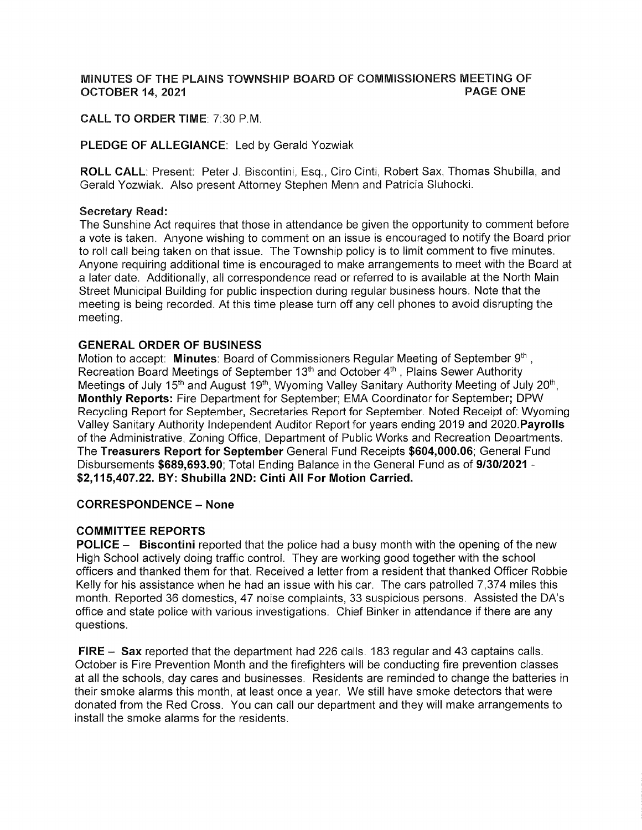#### MINUTES OF THE PLAINS TOWNSHIP BOARD OF COMMISSIONERS MEETING OF **OCTOBER 14, 2021 PAGE ONE**

# CALL TO ORDER TIME: 7:30 P.M.

### PLEDGE OF ALLEGIANCE: Led by Gerald Yozwiak

ROLL CALL: Present: Peter J. Biscontini, Esq., Ciro Cinti, Robert Sax, Thomas Shubilla, and Gerald Yozwiak. Also present Attorney Stephen Menn and Patricia Sluhocki.

#### Secretary Read:

The Sunshine Act requires that those in attendance be given the opportunity to comment before <sup>a</sup>vote is taken. Anyone wishing to comment on an issue is encouraged to notify the Board prior to roll call being taken on that issue. The Township policy is to limit comment to five minutes. Anyone requiring additional time is encouraged to make arrangements to meet with the Board at a later date. Additionally, all correspondence read or referred to is available at the North Main Street Municipal Building for public inspection during regular business hours. Note that the meeting is being recorded, At this time please turn off any cell phones to avoid disrupting the meeting.

#### GENERAL ORDER OF BUSINESS

Motion to accept: Minutes: Board of Commissioners Regular Meeting of September  $9<sup>th</sup>$ , Recreation Board Meetings of September 13<sup>th</sup> and October 4<sup>th</sup>, Plains Sewer Authority Meetings of July 15<sup>th</sup> and August 19<sup>th</sup>, Wyoming Valley Sanitary Authority Meeting of July 20<sup>th</sup>, Monthly Reports: Fire Deparlment for September; EMA Coordinator for September; DPW Recycling Report for September, Secretaries Report for September, Noted Receipt of: Wyoming Valley Sanitary Authority lndependent Auditor Report for years ending 2019 and 2020.Payrolls of the Administrative, Zoning Office, Department of Public Works and Recreation Departments. The Treasurers Report for September General Fund Receipts \$604,000.06; General Fund Disbursements \$689,693.90; Total Ending Balance in the General Fund as of 9/30/2021 -\$2,115,407.22. BY: Shubilla 2NÐ: Cinti All For Motion Carried.

### CORRESPONDENCE - None

#### COMMITTEE REPORTS

POLICE - Biscontini reported that the police had a busy month with the opening of the new High School actively doing traffic control, They are working good together with the school officers and thanked them for that, Received a letter from a resident that thanked Officer Robbie Kelly for his assistance when he had an issue with his car. The cars patrolled 7,374 miles this month. Reported 36 domestics, 47 noise complaints, 33 suspicious persons. Assisted the DA's office and state police with various investigations. Chief Binker in attendance if there are any questions.

FIRE - Sax reported that the department had 226 calls. 183 regular and 43 captains calls. October is Fire Prevention Month and the firefighters will be conducting fire prevention classes at all the schools, day cares and businesses. Residents are reminded to change the batteries in their smoke alarms this month, at least once a year, We still have smoke detectors that were donated from the Red Cross. You can call our deparlment and they will make arrangements to install the smoke alarms for the residents.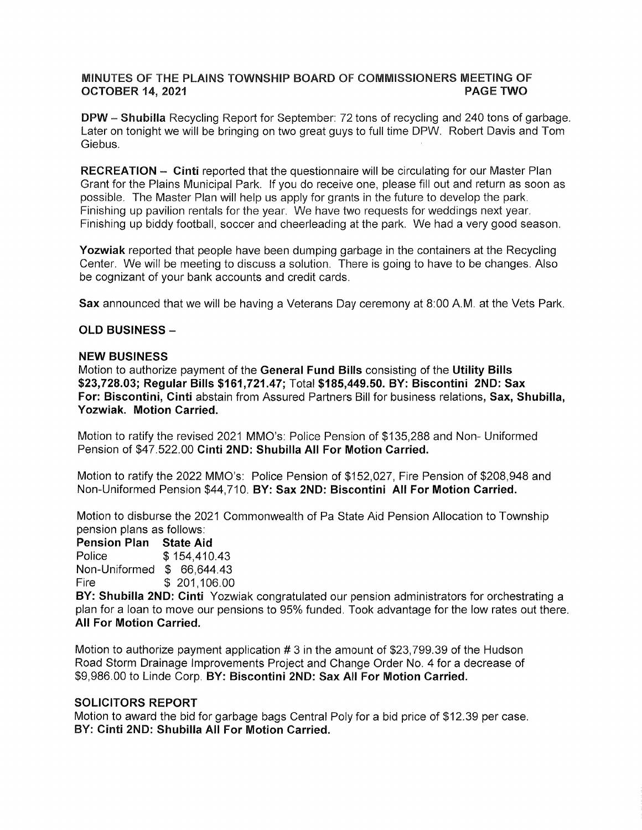# MINUTES OF THE PLAINS TOWNSHIP BOARD OF COMMISSIONERS MEETING OF OCTOBER 14, 2021 PAGÉ TWO

**DPW - Shubilla** Recycling Report for September: 72 tons of recycling and 240 tons of garbage. Later on tonight we will be bringing on two great guys to full time DPW. Robert Davis and Tom Giebus.

RECREATION - Cinti reported that the questionnaire will be circulating for our Master Plan Grant for the Plains Municipal Park. lf you do receive one, please fill out and return as soon as possible. The Master Plan will help us apply for grants in the future to develop the park. Finishing up pavilion rentals for the year. We have two requests for weddings next year. Finishing up biddy football, soccer and cheerleading at the park. We had a very good season.

Yozwiak reported that people have been dumping garbage in the containers at the Recycling Center. We will be meeting to discuss a solution. There is going to have to be changes. Also be cognizant of your bank accounts and credit cards.

Sax announced that we will be having a Veterans Day ceremony at 8:00 A.M. at the Vets Park.

#### OLD BUSINESS -

#### NEW BUSINESS

Motion to authorize payment of the General Fund Bills consisting of the Utility Bills \$23,728.03; Regular Bills \$161 ,721.47; Total \$185,449.50. BY: Biscontini 2ND: Sax For: Biscontini, Cinti abstain from Assured Partners Bill for business relations, Sax, Shubilla, Yozwiak. Motion Carried.

Motion to ratify the revised 2021 MMO's: Police Pension of \$135,288 and Non- Uniformed Pension of \$47.522.00 Cinti 2ND: Shubilla All For Motion Carried.

Motion to ratify the 2022 MMO's: Police Pension of \$152,027 , Fire Pension of \$208,948 and Non-Uniformed Pension \$44,710. BY: Sax 2ND: Biscontini All For Motion Carried.

Motion to disburse the 2021 Commonwealth of Pa State Aid Pension Allocation to Township pension plans as follows:

Pension Plan State Aid Police \$ 154,410.43 Non-Uniformed \$ 66,644.43 Fire \$ 201,106 <sup>00</sup>

BY: Shubilla 2ND: Ginti Yozwiak congratulated our pension administrators for orchestrating a plan for a loan to move our pensions to 95% funded. Took advantage for the low rates out there. All For Motion Carried.

Motion to authorize payment application # 3 in the amount of \$23,799.39 of the Hudson Road Storm Drainage lmprovements Project and Change Order No. 4 for a decrease of \$9,986.00 to Linde Corp. BY: Biscontini 2ND: Sax All For Motion Garried.

#### SOLICITORS REPORT

Motion to award the bid for garbage bags Central Poly for a bid price of \$12.39 per case. BY; Ginti 2ND: Shubllla All For Motion Carried.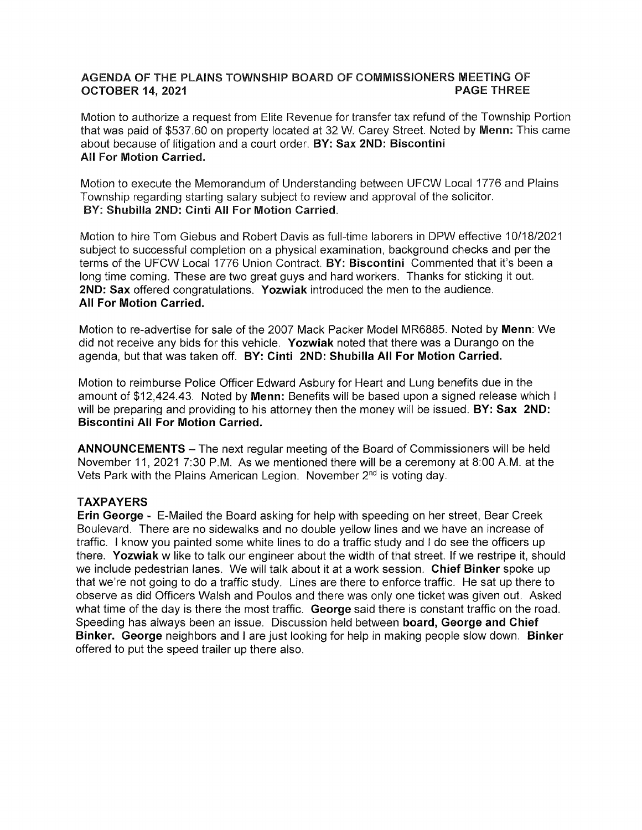# AGËNDA OF THE PLAINS TOWNSHIP BOARD OF COMMISSIONERS MEËTING OF OCTOBËR 14, 2021

Motion to authorize a request from Elite Revenue for transfer tax refund of the Township Portion that was paid of \$537.60 on property located at 32 W. Carey Street. Noted by Menn: This came about because of litigation and a court order. BY: Sax 2ND: Biscontini **All For Motion Carried.** 

Motion to execute the Memorandum of Understanding between UFCW Loeal 1776 and Plains Township regarding starting salary subject to review and approval of the solicitor. BY: Shubilla 2ND: Cinti All For Motion Carried.

Motion to hire Tom Giebus and Robert Davis as full-time laborers in DPW effective 10/18/2021 subject to successful completion on a physical examination, background checks and per the terms of the UFCW Local 1776 Union Contract. BY: Biscontini Commented that it's been a long time coming. These are two great guys and hard workers. Thanks for sticking it out. 2ND: Sax offered congratulations. Yozwiak introduced the men to the audience. All For Motion Garried.

Motion to re-advertise for sale of the 2007 Mack Packer Model MR6885. Noted by Menn: We did not receive any bids for this vehicle. Yozwiak noted that there was a Durango on the agenda, but that was taken off. BY: Cinti 2ND: Shubilla All For Motion Carried.

Motion to reimburse Police Officer Edward Asbury for Heart and Lung benefits due in the amount of \$12,424.43. Noted by Menn: Benefits will be based upon a signed release which <sup>I</sup> will be preparing and providing to his attorney then the money will be issued. BY: Sax 2ND: Biscontini All For Motion Carried.

ANNOUNCEMENTS - The next regular meeting of the Board of Commissioners will be held November 11, 2021 7:30 P.M. As we mentioned there will be a ceremony at 8:00 A.M. at the Vets Park with the Plains American Legion. November  $2<sup>nd</sup>$  is voting day.

# TAXPAYERS

Erin George - E-Mailed the Board asking for help with speeding on her street, Bear Creek Boulevard. There are no sidewalks and no double yellow lines and we have an increase of traffic. I know you painted some white lines to do a traffic study and I do see the officers up there. Yozwiak w like to talk our engineer about the width of that street. lf we restripe it, should we include pedestrian lanes. We will talk about it at a work session, Chief Binker spoke up that we're not going to do a traffic study. Lines are there to enforce traffic. He sat up there to observe as did Officers Walsh and Poulos and there was only one ticket was given out. Asked what time of the day is there the most traffic. George said there is constant traffic on the road. Speeding has always been an issue. Discussion held between board, George and Ghief Binker. George neighbors and I are just looking for help in making people slow down. Binker offered to put the speed trailer up there also.